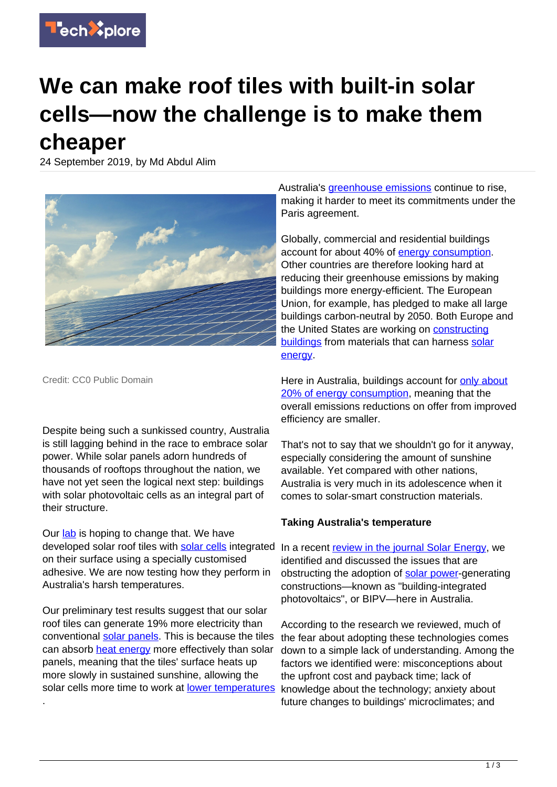

## **We can make roof tiles with built-in solar cells—now the challenge is to make them cheaper**

24 September 2019, by Md Abdul Alim



Credit: CC0 Public Domain

.

Despite being such a sunkissed country, Australia is still lagging behind in the race to embrace solar power. While solar panels adorn hundreds of thousands of rooftops throughout the nation, we have not yet seen the logical next step: buildings with solar photovoltaic cells as an integral part of their structure.

Our [lab](https://www.westernsydney.edu.au/cie) is hoping to change that. We have developed solar roof tiles with [solar cells](https://techxplore.com/tags/solar+cells/) integrated on their surface using a specially customised adhesive. We are now testing how they perform in Australia's harsh temperatures.

Our preliminary test results suggest that our solar roof tiles can generate 19% more electricity than conventional [solar panels](https://techxplore.com/tags/solar+panels/). This is because the tiles can absorb [heat energy](https://techxplore.com/tags/heat+energy/) more effectively than solar panels, meaning that the tiles' surface heats up more slowly in sustained sunshine, allowing the solar cells more time to work at [lower temperatures](https://techxplore.com/tags/lower+temperatures/) knowledge about the technology; anxiety about

Australia's *greenhouse emissions* continue to rise, making it harder to meet its commitments under the Paris agreement.

Globally, commercial and residential buildings account for about 40% of [energy consumption.](https://techxplore.com/tags/energy+consumption/) Other countries are therefore looking hard at reducing their greenhouse emissions by making buildings more energy-efficient. The European Union, for example, has pledged to make all large buildings carbon-neutral by 2050. Both Europe and the United States are working on [constructing](https://www.mdpi.com/1996-1073/11/11/3157) [buildings](https://www.mdpi.com/1996-1073/11/11/3157) from materials that can harness [solar](https://techxplore.com/tags/solar+energy/) [energy](https://techxplore.com/tags/solar+energy/).

Here in Australia, buildings account for [only about](https://www.sciencedirect.com/science/article/abs/pii/S0038092X19306565) [20% of energy consumption,](https://www.sciencedirect.com/science/article/abs/pii/S0038092X19306565) meaning that the overall emissions reductions on offer from improved efficiency are smaller.

That's not to say that we shouldn't go for it anyway, especially considering the amount of sunshine available. Yet compared with other nations, Australia is very much in its adolescence when it comes to solar-smart construction materials.

## **Taking Australia's temperature**

In a recent [review in the journal Solar Energy,](https://www.sciencedirect.com/science/article/abs/pii/S0038092X19306565) we identified and discussed the issues that are obstructing the adoption of [solar power](https://techxplore.com/tags/solar+power/)-generating constructions—known as "building-integrated photovoltaics", or BIPV—here in Australia.

According to the research we reviewed, much of the fear about adopting these technologies comes down to a simple lack of understanding. Among the factors we identified were: misconceptions about the upfront cost and payback time; lack of future changes to buildings' microclimates; and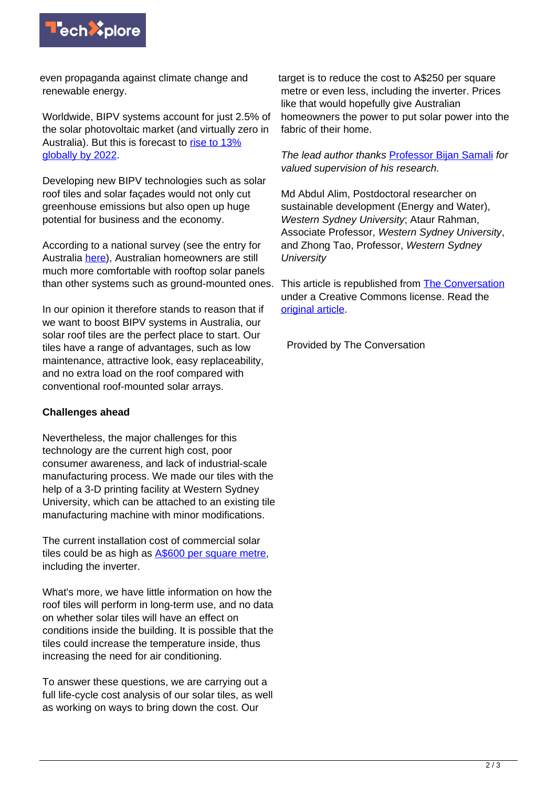

even propaganda against climate change and renewable energy.

Worldwide, BIPV systems account for just 2.5% of the solar photovoltaic market (and virtually zero in Australia). But this is forecast to [rise to 13%](https://www.sciencedirect.com/science/article/abs/pii/S0038092X19306565) [globally by 2022.](https://www.sciencedirect.com/science/article/abs/pii/S0038092X19306565)

Developing new BIPV technologies such as solar roof tiles and solar façades would not only cut greenhouse emissions but also open up huge potential for business and the economy.

According to a national survey (see the entry for Australia [here](http://www.iea-pvps.org/?id=93)), Australian homeowners are still much more comfortable with rooftop solar panels than other systems such as ground-mounted ones.

In our opinion it therefore stands to reason that if we want to boost BIPV systems in Australia, our solar roof tiles are the perfect place to start. Our tiles have a range of advantages, such as low maintenance, attractive look, easy replaceability, and no extra load on the roof compared with conventional roof-mounted solar arrays.

## **Challenges ahead**

Nevertheless, the major challenges for this technology are the current high cost, poor consumer awareness, and lack of industrial-scale manufacturing process. We made our tiles with the help of a 3-D printing facility at Western Sydney University, which can be attached to an existing tile manufacturing machine with minor modifications.

The current installation cost of commercial solar tiles could be as high as [A\\$600 per square metre](https://www.sciencedirect.com/science/article/abs/pii/S0038092X19306565), including the inverter.

What's more, we have little information on how the roof tiles will perform in long-term use, and no data on whether solar tiles will have an effect on conditions inside the building. It is possible that the tiles could increase the temperature inside, thus increasing the need for air conditioning.

To answer these questions, we are carrying out a full life-cycle cost analysis of our solar tiles, as well as working on ways to bring down the cost. Our

target is to reduce the cost to A\$250 per square metre or even less, including the inverter. Prices like that would hopefully give Australian homeowners the power to put solar power into the fabric of their home.

The lead author thanks [Professor Bijan Samali](https://www.westernsydney.edu.au/staff_profiles/uws_profiles/professor_bijan_samali) for valued supervision of his research.

Md Abdul Alim, Postdoctoral researcher on sustainable development (Energy and Water), Western Sydney University; Ataur Rahman, Associate Professor, Western Sydney University, and Zhong Tao, Professor, Western Sydney **University** 

This article is republished from **[The Conversation](http://theconversation.com)** under a Creative Commons license. Read the [original article](https://theconversation.com/we-can-make-roof-tiles-with-built-in-solar-cells-now-the-challenge-is-to-make-them-cheaper-123775).

Provided by The Conversation